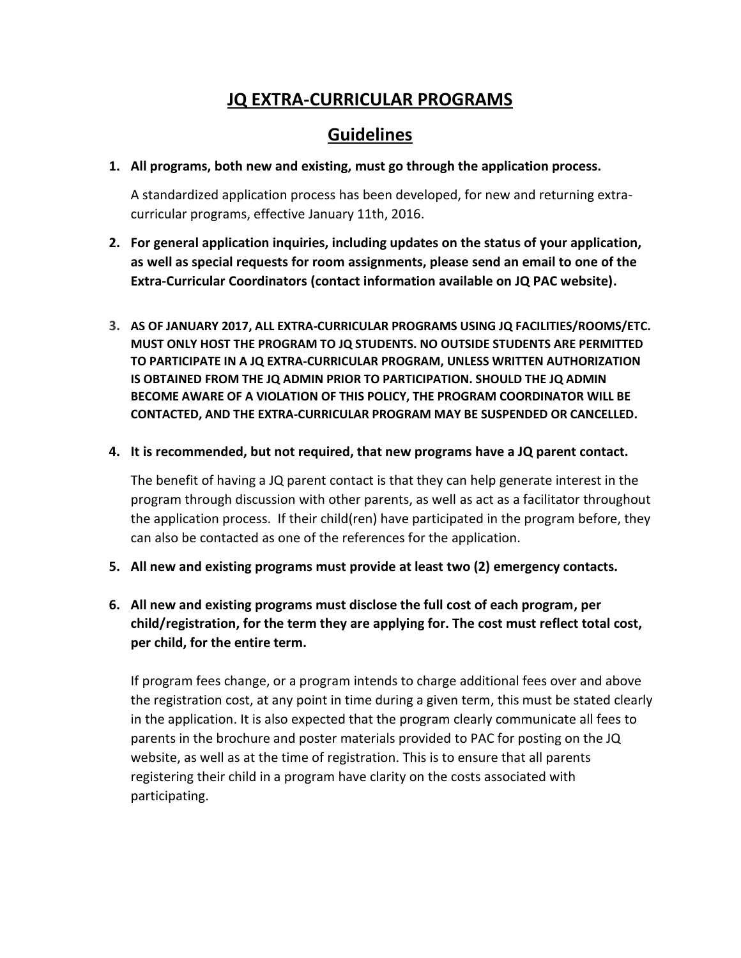## **JQ EXTRA-CURRICULAR PROGRAMS**

# **Guidelines**

**1. All programs, both new and existing, must go through the application process.**

A standardized application process has been developed, for new and returning extracurricular programs, effective January 11th, 2016.

- **2. For general application inquiries, including updates on the status of your application, as well as special requests for room assignments, please send an email to one of the Extra-Curricular Coordinators (contact information available on JQ PAC website).**
- **3. AS OF JANUARY 2017, ALL EXTRA-CURRICULAR PROGRAMS USING JQ FACILITIES/ROOMS/ETC. MUST ONLY HOST THE PROGRAM TO JQ STUDENTS. NO OUTSIDE STUDENTS ARE PERMITTED TO PARTICIPATE IN A JQ EXTRA-CURRICULAR PROGRAM, UNLESS WRITTEN AUTHORIZATION IS OBTAINED FROM THE JQ ADMIN PRIOR TO PARTICIPATION. SHOULD THE JQ ADMIN BECOME AWARE OF A VIOLATION OF THIS POLICY, THE PROGRAM COORDINATOR WILL BE CONTACTED, AND THE EXTRA-CURRICULAR PROGRAM MAY BE SUSPENDED OR CANCELLED.**

#### **4. It is recommended, but not required, that new programs have a JQ parent contact.**

The benefit of having a JQ parent contact is that they can help generate interest in the program through discussion with other parents, as well as act as a facilitator throughout the application process. If their child(ren) have participated in the program before, they can also be contacted as one of the references for the application.

- **5. All new and existing programs must provide at least two (2) emergency contacts.**
- **6. All new and existing programs must disclose the full cost of each program, per child/registration, for the term they are applying for. The cost must reflect total cost, per child, for the entire term.**

If program fees change, or a program intends to charge additional fees over and above the registration cost, at any point in time during a given term, this must be stated clearly in the application. It is also expected that the program clearly communicate all fees to parents in the brochure and poster materials provided to PAC for posting on the JQ website, as well as at the time of registration. This is to ensure that all parents registering their child in a program have clarity on the costs associated with participating.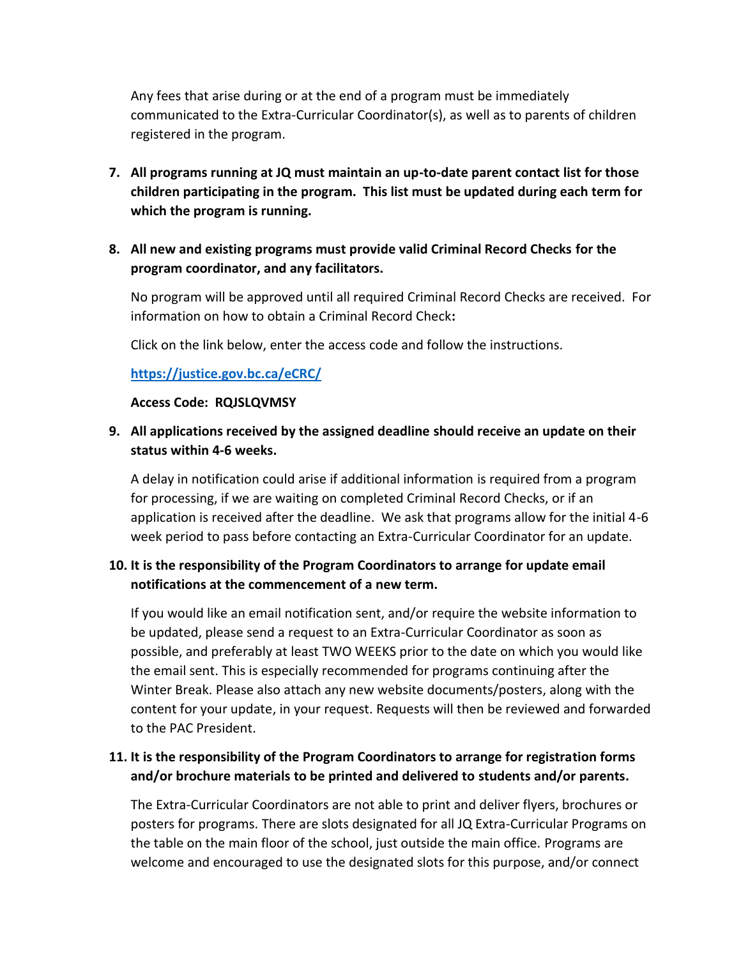Any fees that arise during or at the end of a program must be immediately communicated to the Extra-Curricular Coordinator(s), as well as to parents of children registered in the program.

**7. All programs running at JQ must maintain an up-to-date parent contact list for those children participating in the program. This list must be updated during each term for which the program is running.** 

## **8. All new and existing programs must provide valid Criminal Record Checks for the program coordinator, and any facilitators.**

No program will be approved until all required Criminal Record Checks are received. For information on how to obtain a Criminal Record Check**:**

Click on the link below, enter the access code and follow the instructions.

## **<https://justice.gov.bc.ca/eCRC/>**

#### **Access Code: RQJSLQVMSY**

## **9. All applications received by the assigned deadline should receive an update on their status within 4-6 weeks.**

A delay in notification could arise if additional information is required from a program for processing, if we are waiting on completed Criminal Record Checks, or if an application is received after the deadline. We ask that programs allow for the initial 4-6 week period to pass before contacting an Extra-Curricular Coordinator for an update.

## **10. It is the responsibility of the Program Coordinators to arrange for update email notifications at the commencement of a new term.**

If you would like an email notification sent, and/or require the website information to be updated, please send a request to an Extra-Curricular Coordinator as soon as possible, and preferably at least TWO WEEKS prior to the date on which you would like the email sent. This is especially recommended for programs continuing after the Winter Break. Please also attach any new website documents/posters, along with the content for your update, in your request. Requests will then be reviewed and forwarded to the PAC President.

## **11. It is the responsibility of the Program Coordinators to arrange for registration forms and/or brochure materials to be printed and delivered to students and/or parents.**

The Extra-Curricular Coordinators are not able to print and deliver flyers, brochures or posters for programs. There are slots designated for all JQ Extra-Curricular Programs on the table on the main floor of the school, just outside the main office. Programs are welcome and encouraged to use the designated slots for this purpose, and/or connect